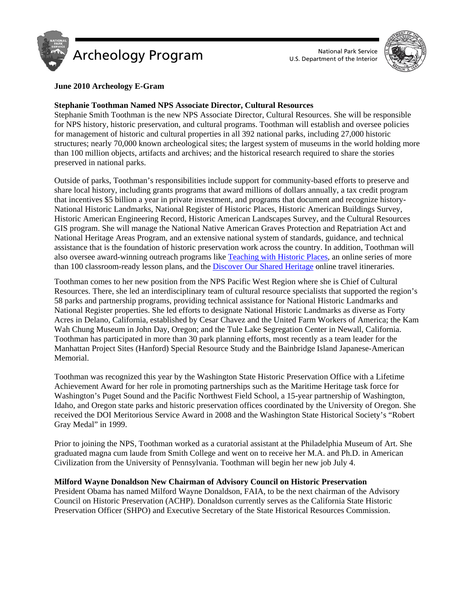



## **June 2010 Archeology E-Gram**

### **Stephanie Toothman Named NPS Associate Director, Cultural Resources**

Stephanie Smith Toothman is the new NPS Associate Director, Cultural Resources. She will be responsible for NPS history, historic preservation, and cultural programs. Toothman will establish and oversee policies for management of historic and cultural properties in all 392 national parks, including 27,000 historic structures; nearly 70,000 known archeological sites; the largest system of museums in the world holding more than 100 million objects, artifacts and archives; and the historical research required to share the stories preserved in national parks.

Outside of parks, Toothman's responsibilities include support for community-based efforts to preserve and share local history, including grants programs that award millions of dollars annually, a tax credit program that incentives \$5 billion a year in private investment, and programs that document and recognize history-National Historic Landmarks, National Register of Historic Places, Historic American Buildings Survey, Historic American Engineering Record, Historic American Landscapes Survey, and the Cultural Resources GIS program. She will manage the National Native American Graves Protection and Repatriation Act and National Heritage Areas Program, and an extensive national system of standards, guidance, and technical assistance that is the foundation of historic preservation work across the country. In addition, Toothman will also oversee award-winning outreach programs like Teaching with Historic Places, an online series of more than 100 classroom-ready lesson plans, and the Discover Our Shared Heritage online travel itineraries.

Toothman comes to her new position from the NPS Pacific West Region where she is Chief of Cultural Resources. There, she led an interdisciplinary team of cultural resource specialists that supported the region's 58 parks and partnership programs, providing technical assistance for National Historic Landmarks and National Register properties. She led efforts to designate National Historic Landmarks as diverse as Forty Acres in Delano, California, established by Cesar Chavez and the United Farm Workers of America; the Kam Wah Chung Museum in John Day, Oregon; and the Tule Lake Segregation Center in Newall, California. Toothman has participated in more than 30 park planning efforts, most recently as a team leader for the Manhattan Project Sites (Hanford) Special Resource Study and the Bainbridge Island Japanese-American Memorial.

Toothman was recognized this year by the Washington State Historic Preservation Office with a Lifetime Achievement Award for her role in promoting partnerships such as the Maritime Heritage task force for Washington's Puget Sound and the Pacific Northwest Field School, a 15-year partnership of Washington, Idaho, and Oregon state parks and historic preservation offices coordinated by the University of Oregon. She received the DOI Meritorious Service Award in 2008 and the Washington State Historical Society's "Robert Gray Medal" in 1999.

Prior to joining the NPS, Toothman worked as a curatorial assistant at the Philadelphia Museum of Art. She graduated magna cum laude from Smith College and went on to receive her M.A. and Ph.D. in American Civilization from the University of Pennsylvania. Toothman will begin her new job July 4.

# **Milford Wayne Donaldson New Chairman of Advisory Council on Historic Preservation**

President Obama has named Milford Wayne Donaldson, FAIA, to be the next chairman of the Advisory Council on Historic Preservation (ACHP). Donaldson currently serves as the California State Historic Preservation Officer (SHPO) and Executive Secretary of the State Historical Resources Commission.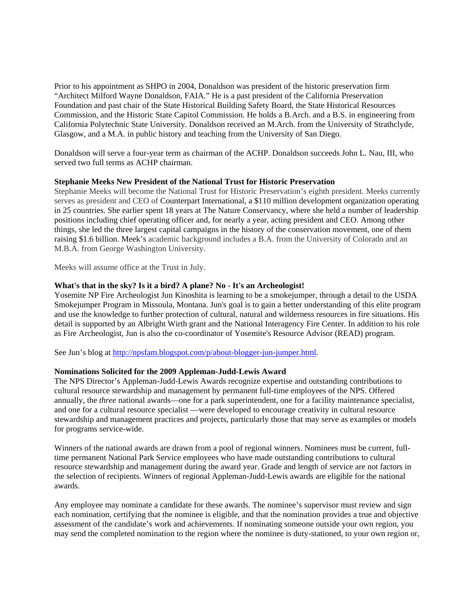Prior to his appointment as SHPO in 2004, Donaldson was president of the historic preservation firm "Architect Milford Wayne Donaldson, FAIA." He is a past president of the California Preservation Foundation and past chair of the State Historical Building Safety Board, the State Historical Resources Commission, and the Historic State Capitol Commission. He holds a B.Arch. and a B.S. in engineering from California Polytechnic State University. Donaldson received an M.Arch. from the University of Strathclyde, Glasgow, and a M.A. in public history and teaching from the University of San Diego.

Donaldson will serve a four-year term as chairman of the ACHP. Donaldson succeeds John L. Nau, III, who served two full terms as ACHP chairman.

### **Stephanie Meeks New President of the National Trust for Historic Preservation**

Stephanie Meeks will become the National Trust for Historic Preservation's eighth president. Meeks currently serves as president and CEO of Counterpart International, a \$110 million development organization operating in 25 countries. She earlier spent 18 years at The Nature Conservancy, where she held a number of leadership positions including chief operating officer and, for nearly a year, acting president and CEO. Among other things, she led the three largest capital campaigns in the history of the conservation movement, one of them raising \$1.6 billion. Meek's academic background includes a B.A. from the University of Colorado and an M.B.A. from George Washington University.

Meeks will assume office at the Trust in July.

# **What's that in the sky? Is it a bird? A plane? No - It's an Archeologist!**

Yosemite NP Fire Archeologist Jun Kinoshita is learning to be a smokejumper, through a detail to the USDA Smokejumper Program in Missoula, Montana. Jun's goal is to gain a better understanding of this elite program and use the knowledge to further protection of cultural, natural and wilderness resources in fire situations. His detail is supported by an Albright Wirth grant and the National Interagency Fire Center. In addition to his role as Fire Archeologist, Jun is also the co-coordinator of Yosemite's Resource Advisor (READ) program.

See Jun's blog at http://npsfam.blogspot.com/p/about-blogger-jun-jumper.html.

#### **Nominations Solicited for the 2009 Appleman-Judd-Lewis Award**

The NPS Director's Appleman-Judd-Lewis Awards recognize expertise and outstanding contributions to cultural resource stewardship and management by permanent full-time employees of the NPS. Offered annually, the *three* national awards—one for a park superintendent, one for a facility maintenance specialist, and one for a cultural resource specialist —were developed to encourage creativity in cultural resource stewardship and management practices and projects, particularly those that may serve as examples or models for programs service-wide.

Winners of the national awards are drawn from a pool of regional winners. Nominees must be current, fulltime permanent National Park Service employees who have made outstanding contributions to cultural resource stewardship and management during the award year. Grade and length of service are not factors in the selection of recipients. Winners of regional Appleman-Judd-Lewis awards are eligible for the national awards.

Any employee may nominate a candidate for these awards. The nominee's supervisor must review and sign each nomination, certifying that the nominee is eligible, and that the nomination provides a true and objective assessment of the candidate's work and achievements. If nominating someone outside your own region, you may send the completed nomination to the region where the nominee is duty-stationed, to your own region or,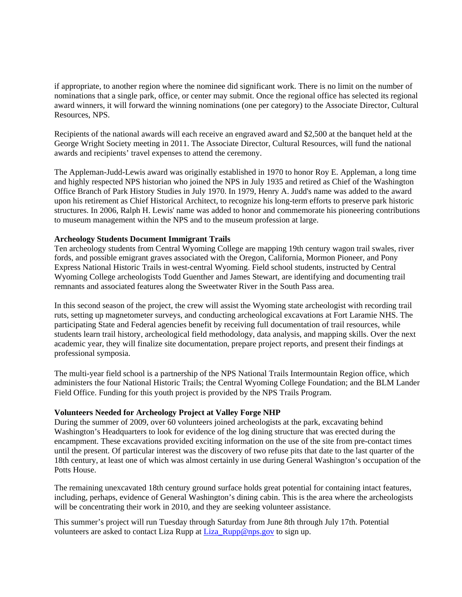if appropriate, to another region where the nominee did significant work. There is no limit on the number of nominations that a single park, office, or center may submit. Once the regional office has selected its regional award winners, it will forward the winning nominations (one per category) to the Associate Director, Cultural Resources, NPS.

Recipients of the national awards will each receive an engraved award and \$2,500 at the banquet held at the George Wright Society meeting in 2011. The Associate Director, Cultural Resources, will fund the national awards and recipients' travel expenses to attend the ceremony.

The Appleman-Judd-Lewis award was originally established in 1970 to honor Roy E. Appleman, a long time and highly respected NPS historian who joined the NPS in July 1935 and retired as Chief of the Washington Office Branch of Park History Studies in July 1970. In 1979, Henry A. Judd's name was added to the award upon his retirement as Chief Historical Architect, to recognize his long-term efforts to preserve park historic structures. In 2006, Ralph H. Lewis' name was added to honor and commemorate his pioneering contributions to museum management within the NPS and to the museum profession at large.

### **Archeology Students Document Immigrant Trails**

Ten archeology students from Central Wyoming College are mapping 19th century wagon trail swales, river fords, and possible emigrant graves associated with the Oregon, California, Mormon Pioneer, and Pony Express National Historic Trails in west-central Wyoming. Field school students, instructed by Central Wyoming College archeologists Todd Guenther and James Stewart, are identifying and documenting trail remnants and associated features along the Sweetwater River in the South Pass area.

In this second season of the project, the crew will assist the Wyoming state archeologist with recording trail ruts, setting up magnetometer surveys, and conducting archeological excavations at Fort Laramie NHS. The participating State and Federal agencies benefit by receiving full documentation of trail resources, while students learn trail history, archeological field methodology, data analysis, and mapping skills. Over the next academic year, they will finalize site documentation, prepare project reports, and present their findings at professional symposia.

The multi-year field school is a partnership of the NPS National Trails Intermountain Region office, which administers the four National Historic Trails; the Central Wyoming College Foundation; and the BLM Lander Field Office. Funding for this youth project is provided by the NPS Trails Program.

# **Volunteers Needed for Archeology Project at Valley Forge NHP**

During the summer of 2009, over 60 volunteers joined archeologists at the park, excavating behind Washington's Headquarters to look for evidence of the log dining structure that was erected during the encampment. These excavations provided exciting information on the use of the site from pre-contact times until the present. Of particular interest was the discovery of two refuse pits that date to the last quarter of the 18th century, at least one of which was almost certainly in use during General Washington's occupation of the Potts House.

The remaining unexcavated 18th century ground surface holds great potential for containing intact features, including, perhaps, evidence of General Washington's dining cabin. This is the area where the archeologists will be concentrating their work in 2010, and they are seeking volunteer assistance.

This summer's project will run Tuesday through Saturday from June 8th through July 17th. Potential volunteers are asked to contact Liza Rupp at Liza\_Rupp@nps.gov to sign up.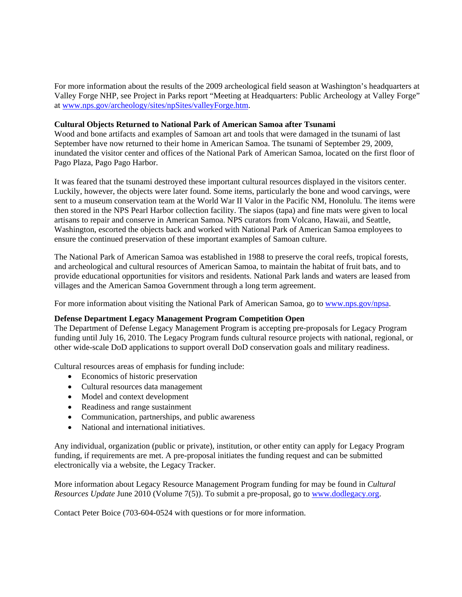For more information about the results of the 2009 archeological field season at Washington's headquarters at Valley Forge NHP, see Project in Parks report "Meeting at Headquarters: Public Archeology at Valley Forge" at www.nps.gov/archeology/sites/npSites/valleyForge.htm.

# **Cultural Objects Returned to National Park of American Samoa after Tsunami**

Wood and bone artifacts and examples of Samoan art and tools that were damaged in the tsunami of last September have now returned to their home in American Samoa. The tsunami of September 29, 2009, inundated the visitor center and offices of the National Park of American Samoa, located on the first floor of Pago Plaza, Pago Pago Harbor.

It was feared that the tsunami destroyed these important cultural resources displayed in the visitors center. Luckily, however, the objects were later found. Some items, particularly the bone and wood carvings, were sent to a museum conservation team at the World War II Valor in the Pacific NM, Honolulu. The items were then stored in the NPS Pearl Harbor collection facility. The siapos (tapa) and fine mats were given to local artisans to repair and conserve in American Samoa. NPS curators from Volcano, Hawaii, and Seattle, Washington, escorted the objects back and worked with National Park of American Samoa employees to ensure the continued preservation of these important examples of Samoan culture.

The National Park of American Samoa was established in 1988 to preserve the coral reefs, tropical forests, and archeological and cultural resources of American Samoa, to maintain the habitat of fruit bats, and to provide educational opportunities for visitors and residents. National Park lands and waters are leased from villages and the American Samoa Government through a long term agreement.

For more information about visiting the National Park of American Samoa, go to www.nps.gov/npsa.

### **Defense Department Legacy Management Program Competition Open**

The Department of Defense Legacy Management Program is accepting pre-proposals for Legacy Program funding until July 16, 2010. The Legacy Program funds cultural resource projects with national, regional, or other wide-scale DoD applications to support overall DoD conservation goals and military readiness.

Cultural resources areas of emphasis for funding include:

- Economics of historic preservation
- Cultural resources data management
- Model and context development
- Readiness and range sustainment
- Communication, partnerships, and public awareness
- National and international initiatives.

Any individual, organization (public or private), institution, or other entity can apply for Legacy Program funding, if requirements are met. A pre-proposal initiates the funding request and can be submitted electronically via a website, the Legacy Tracker.

More information about Legacy Resource Management Program funding for may be found in *Cultural Resources Update* June 2010 (Volume 7(5)). To submit a pre-proposal, go to www.dodlegacy.org.

Contact Peter Boice (703-604-0524 with questions or for more information.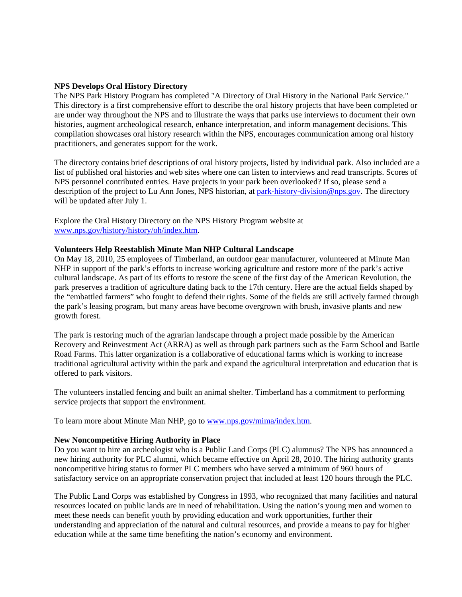#### **NPS Develops Oral History Directory**

The NPS Park History Program has completed "A Directory of Oral History in the National Park Service." This directory is a first comprehensive effort to describe the oral history projects that have been completed or are under way throughout the NPS and to illustrate the ways that parks use interviews to document their own histories, augment archeological research, enhance interpretation, and inform management decisions. This compilation showcases oral history research within the NPS, encourages communication among oral history practitioners, and generates support for the work.

The directory contains brief descriptions of oral history projects, listed by individual park. Also included are a list of published oral histories and web sites where one can listen to interviews and read transcripts. Scores of NPS personnel contributed entries. Have projects in your park been overlooked? If so, please send a description of the project to Lu Ann Jones, NPS historian, at park-history-division@nps.gov. The directory will be updated after July 1.

Explore the Oral History Directory on the NPS History Program website at www.nps.gov/history/history/oh/index.htm.

# **Volunteers Help Reestablish Minute Man NHP Cultural Landscape**

On May 18, 2010, 25 employees of Timberland, an outdoor gear manufacturer, volunteered at Minute Man NHP in support of the park's efforts to increase working agriculture and restore more of the park's active cultural landscape. As part of its efforts to restore the scene of the first day of the American Revolution, the park preserves a tradition of agriculture dating back to the 17th century. Here are the actual fields shaped by the "embattled farmers" who fought to defend their rights. Some of the fields are still actively farmed through the park's leasing program, but many areas have become overgrown with brush, invasive plants and new growth forest.

The park is restoring much of the agrarian landscape through a project made possible by the American Recovery and Reinvestment Act (ARRA) as well as through park partners such as the Farm School and Battle Road Farms. This latter organization is a collaborative of educational farms which is working to increase traditional agricultural activity within the park and expand the agricultural interpretation and education that is offered to park visitors.

The volunteers installed fencing and built an animal shelter. Timberland has a commitment to performing service projects that support the environment.

To learn more about Minute Man NHP, go to www.nps.gov/mima/index.htm.

#### **New Noncompetitive Hiring Authority in Place**

Do you want to hire an archeologist who is a Public Land Corps (PLC) alumnus? The NPS has announced a new hiring authority for PLC alumni, which became effective on April 28, 2010. The hiring authority grants noncompetitive hiring status to former PLC members who have served a minimum of 960 hours of satisfactory service on an appropriate conservation project that included at least 120 hours through the PLC.

The Public Land Corps was established by Congress in 1993, who recognized that many facilities and natural resources located on public lands are in need of rehabilitation. Using the nation's young men and women to meet these needs can benefit youth by providing education and work opportunities, further their understanding and appreciation of the natural and cultural resources, and provide a means to pay for higher education while at the same time benefiting the nation's economy and environment.